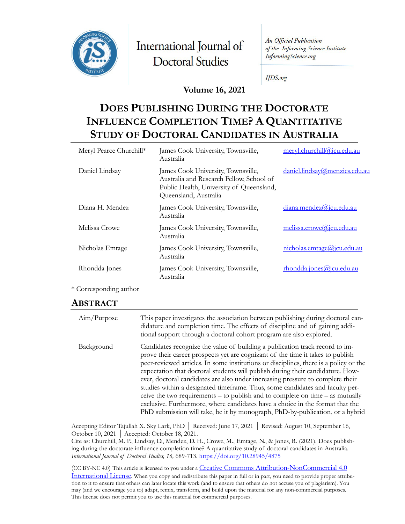

International Journal of **Doctoral Studies** 

An Official Publication of the Informing Science Institute InformingScience.org

**IJDS.org** 

**Volume 16, 2021**

# **DOES PUBLISHING DURING THE DOCTORATE INFLUENCE COMPLETION TIME? A QUANTITATIVE STUDY OF DOCTORAL CANDIDATES IN AUSTRALIA**

| Meryl Pearce Churchill* | James Cook University, Townsville,<br>Australia                                                                                                     | meryl.churchill@jcu.edu.au    |
|-------------------------|-----------------------------------------------------------------------------------------------------------------------------------------------------|-------------------------------|
| Daniel Lindsay          | James Cook University, Townsville,<br>Australia and Research Fellow, School of<br>Public Health, University of Queensland,<br>Queensland, Australia | daniel.lindsay@menzies.edu.au |
| Diana H. Mendez         | James Cook University, Townsville,<br>Australia                                                                                                     | diana.mendez@jcu.edu.au       |
| Melissa Crowe           | James Cook University, Townsville,<br>Australia                                                                                                     | melissa.crowe@jcu.edu.au      |
| Nicholas Emtage         | James Cook University, Townsville,<br>Australia                                                                                                     | nicholas.emtage@jcu.edu.au    |
| Rhondda Jones           | James Cook University, Townsville,<br>Australia                                                                                                     | rhondda.jones@jcu.edu.au      |

\* Corresponding author

#### **ABSTRACT**

| Aim/Purpose | This paper investigates the association between publishing during doctoral can-<br>didature and completion time. The effects of discipline and of gaining addi-<br>tional support through a doctoral cohort program are also explored.                                                                                                                                                                                                                                                                                                                                                                                                                                                                                                                              |
|-------------|---------------------------------------------------------------------------------------------------------------------------------------------------------------------------------------------------------------------------------------------------------------------------------------------------------------------------------------------------------------------------------------------------------------------------------------------------------------------------------------------------------------------------------------------------------------------------------------------------------------------------------------------------------------------------------------------------------------------------------------------------------------------|
| Background  | Candidates recognize the value of building a publication track record to im-<br>prove their career prospects yet are cognizant of the time it takes to publish<br>peer-reviewed articles. In some institutions or disciplines, there is a policy or the<br>expectation that doctoral students will publish during their candidature. How-<br>ever, doctoral candidates are also under increasing pressure to complete their<br>studies within a designated timeframe. Thus, some candidates and faculty per-<br>ceive the two requirements $-$ to publish and to complete on time $-$ as mutually<br>exclusive. Furthermore, where candidates have a choice in the format that the<br>PhD submission will take, be it by monograph, PhD-by-publication, or a hybrid |

Accepting Editor Tajullah X. Sky Lark, PhD │ Received: June 17, 2021 │ Revised: August 10, September 16, October 10, 2021 │ Accepted: October 18, 2021.

Cite as: Churchill, M. P., Lindsay, D., Mendez, D. H., Crowe, M., Emtage, N., & Jones, R. (2021). Does publishing during the doctorate influence completion time? A quantitative study of doctoral candidates in Australia. *International Journal of Doctoral Studies, 16,* 689-713. <https://doi.org/10.28945/4875>

(CC BY-NC 4.0) This article is licensed to you under a **Creative Commons Attribution-NonCommercial 4.0** [International License.](https://creativecommons.org/licenses/by-nc/4.0/) When you copy and redistribute this paper in full or in part, you need to provide proper attribution to it to ensure that others can later locate this work (and to ensure that others do not accuse you of plagiarism). You may (and we encourage you to) adapt, remix, transform, and build upon the material for any non-commercial purposes. This license does not permit you to use this material for commercial purposes.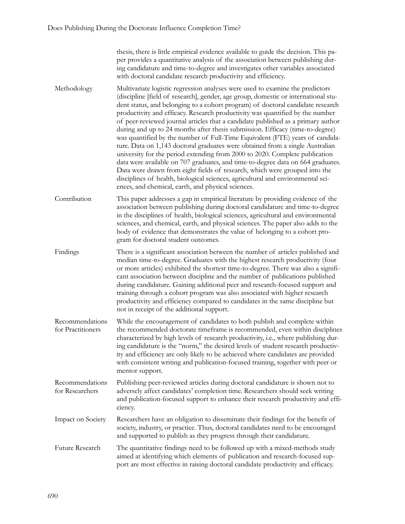|                                      | thesis, there is little empirical evidence available to guide the decision. This pa-<br>per provides a quantitative analysis of the association between publishing dur-<br>ing candidature and time-to-degree and investigates other variables associated<br>with doctoral candidate research productivity and efficiency.                                                                                                                                                                                                                                                                                                                                                                                                                                                                                                                                                                                                                                                                                                                                            |
|--------------------------------------|-----------------------------------------------------------------------------------------------------------------------------------------------------------------------------------------------------------------------------------------------------------------------------------------------------------------------------------------------------------------------------------------------------------------------------------------------------------------------------------------------------------------------------------------------------------------------------------------------------------------------------------------------------------------------------------------------------------------------------------------------------------------------------------------------------------------------------------------------------------------------------------------------------------------------------------------------------------------------------------------------------------------------------------------------------------------------|
| Methodology                          | Multivariate logistic regression analyses were used to examine the predictors<br>(discipline [field of research], gender, age group, domestic or international stu-<br>dent status, and belonging to a cohort program) of doctoral candidate research<br>productivity and efficacy. Research productivity was quantified by the number<br>of peer-reviewed journal articles that a candidate published as a primary author<br>during and up to 24 months after thesis submission. Efficacy (time-to-degree)<br>was quantified by the number of Full-Time Equivalent (FTE) years of candida-<br>ture. Data on 1,143 doctoral graduates were obtained from a single Australian<br>university for the period extending from 2000 to 2020. Complete publication<br>data were available on 707 graduates, and time-to-degree data on 664 graduates.<br>Data were drawn from eight fields of research, which were grouped into the<br>disciplines of health, biological sciences, agricultural and environmental sci-<br>ences, and chemical, earth, and physical sciences. |
| Contribution                         | This paper addresses a gap in empirical literature by providing evidence of the<br>association between publishing during doctoral candidature and time-to-degree<br>in the disciplines of health, biological sciences, agricultural and environmental<br>sciences, and chemical, earth, and physical sciences. The paper also adds to the<br>body of evidence that demonstrates the value of belonging to a cohort pro-<br>gram for doctoral student outcomes.                                                                                                                                                                                                                                                                                                                                                                                                                                                                                                                                                                                                        |
| Findings                             | There is a significant association between the number of articles published and<br>median time-to-degree. Graduates with the highest research productivity (four<br>or more articles) exhibited the shortest time-to-degree. There was also a signifi-<br>cant association between discipline and the number of publications published<br>during candidature. Gaining additional peer and research-focused support and<br>training through a cohort program was also associated with higher research<br>productivity and efficiency compared to candidates in the same discipline but<br>not in receipt of the additional support.                                                                                                                                                                                                                                                                                                                                                                                                                                    |
| Recommendations<br>for Practitioners | While the encouragement of candidates to both publish and complete within<br>the recommended doctorate timeframe is recommended, even within disciplines<br>characterized by high levels of research productivity, i.e., where publishing dur-<br>ing candidature is the "norm," the desired levels of student research productiv-<br>ity and efficiency are only likely to be achieved where candidates are provided<br>with consistent writing and publication-focused training, together with peer or<br>mentor support.                                                                                                                                                                                                                                                                                                                                                                                                                                                                                                                                           |
| Recommendations<br>for Researchers   | Publishing peer-reviewed articles during doctoral candidature is shown not to<br>adversely affect candidates' completion time. Researchers should seek writing<br>and publication-focused support to enhance their research productivity and effi-<br>ciency.                                                                                                                                                                                                                                                                                                                                                                                                                                                                                                                                                                                                                                                                                                                                                                                                         |
| <b>Impact on Society</b>             | Researchers have an obligation to disseminate their findings for the benefit of<br>society, industry, or practice. Thus, doctoral candidates need to be encouraged<br>and supported to publish as they progress through their candidature.                                                                                                                                                                                                                                                                                                                                                                                                                                                                                                                                                                                                                                                                                                                                                                                                                            |
| Future Research                      | The quantitative findings need to be followed up with a mixed-methods study<br>aimed at identifying which elements of publication and research-focused sup-<br>port are most effective in raising doctoral candidate productivity and efficacy.                                                                                                                                                                                                                                                                                                                                                                                                                                                                                                                                                                                                                                                                                                                                                                                                                       |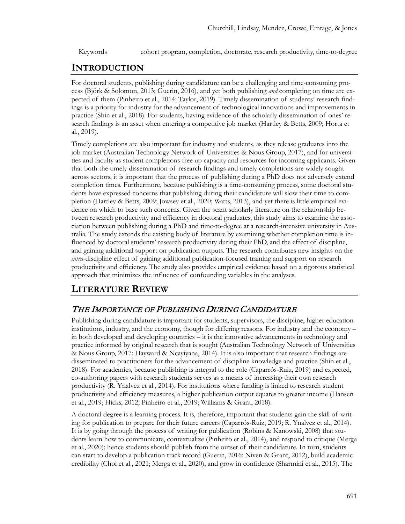Keywords cohort program, completion, doctorate, research productivity, time-to-degree

### **INTRODUCTION**

For doctoral students, publishing during candidature can be a challenging and time-consuming process (Björk & Solomon, 2013; Guerin, 2016), and yet both publishing *and* completing on time are expected of them (Pinheiro et al., 2014; Taylor, 2019). Timely dissemination of students' research findings is a priority for industry for the advancement of technological innovations and improvements in practice (Shin et al., 2018). For students, having evidence of the scholarly dissemination of ones' research findings is an asset when entering a competitive job market (Hartley & Betts, 2009; Horta et al., 2019).

Timely completions are also important for industry and students, as they release graduates into the job market (Australian Technology Network of Universities & Nous Group, 2017), and for universities and faculty as student completions free up capacity and resources for incoming applicants. Given that both the timely dissemination of research findings and timely completions are widely sought across sectors, it is important that the process of publishing during a PhD does not adversely extend completion times. Furthermore, because publishing is a time-consuming process, some doctoral students have expressed concerns that publishing during their candidature will slow their time to completion (Hartley & Betts, 2009; Jowsey et al., 2020; Watts, 2013), and yet there is little empirical evidence on which to base such concerns. Given the scant scholarly literature on the relationship between research productivity and efficiency in doctoral graduates, this study aims to examine the association between publishing during a PhD and time-to-degree at a research-intensive university in Australia. The study extends the existing body of literature by examining whether completion time is influenced by doctoral students' research productivity during their PhD, and the effect of discipline, and gaining additional support on publication outputs. The research contributes new insights on the *intra*-discipline effect of gaining additional publication-focused training and support on research productivity and efficiency. The study also provides empirical evidence based on a rigorous statistical approach that minimizes the influence of confounding variables in the analyses.

# **LITERATURE REVIEW**

### THE IMPORTANCE OF PUBLISHING DURING CANDIDATURE

Publishing during candidature is important for students, supervisors, the discipline, higher education institutions, industry, and the economy, though for differing reasons. For industry and the economy – in both developed and developing countries – it is the innovative advancements in technology and practice informed by original research that is sought (Australian Technology Network of Universities & Nous Group, 2017; Hayward & Ncayiyana, 2014). It is also important that research findings are disseminated to practitioners for the advancement of discipline knowledge and practice (Shin et al., 2018). For academics, because publishing is integral to the role (Caparrós-Ruiz, 2019) and expected, co-authoring papers with research students serves as a means of increasing their own research productivity (R. Ynalvez et al., 2014). For institutions where funding is linked to research student productivity and efficiency measures, a higher publication output equates to greater income (Hansen et al., 2019; Hicks, 2012; Pinheiro et al., 2019; Williams & Grant, 2018).

A doctoral degree is a learning process. It is, therefore, important that students gain the skill of writing for publication to prepare for their future careers (Caparrós-Ruiz, 2019; R. Ynalvez et al., 2014). It is by going through the process of writing for publication (Robins & Kanowski, 2008) that students learn how to communicate, contextualize (Pinheiro et al., 2014), and respond to critique (Merga et al., 2020); hence students should publish from the outset of their candidature. In turn, students can start to develop a publication track record (Guerin, 2016; Niven & Grant, 2012), build academic credibility (Choi et al., 2021; Merga et al., 2020), and grow in confidence (Sharmini et al., 2015). The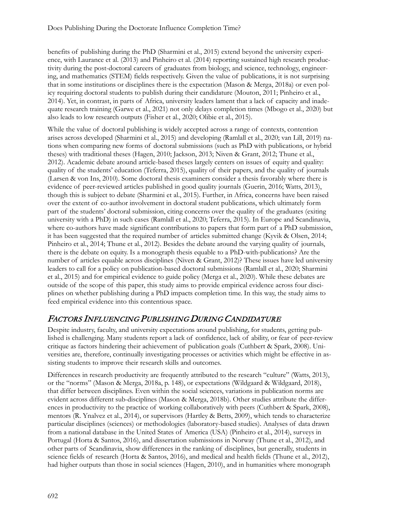benefits of publishing during the PhD (Sharmini et al., 2015) extend beyond the university experience, with Laurance et al. (2013) and Pinheiro et al. (2014) reporting sustained high research productivity during the post-doctoral careers of graduates from biology, and science, technology, engineering, and mathematics (STEM) fields respectively. Given the value of publications, it is not surprising that in some institutions or disciplines there is the expectation (Mason & Merga, 2018a) or even policy requiring doctoral students to publish during their candidature (Mouton, 2011; Pinheiro et al., 2014). Yet, in contrast, in parts of Africa, university leaders lament that a lack of capacity and inadequate research training (Garwe et al., 2021) not only delays completion times (Mbogo et al., 2020) but also leads to low research outputs (Fisher et al., 2020; Olibie et al., 2015).

While the value of doctoral publishing is widely accepted across a range of contexts, contention arises across developed (Sharmini et al., 2015) and developing (Ramlall et al., 2020; van Lill, 2019) nations when comparing new forms of doctoral submissions (such as PhD with publications, or hybrid theses) with traditional theses (Hagen, 2010; Jackson, 2013; Niven & Grant, 2012; Thune et al., 2012). Academic debate around article-based theses largely centers on issues of equity and quality: quality of the students' education (Teferra, 2015), quality of their papers, and the quality of journals (Larsen & von Ins, 2010). Some doctoral thesis examiners consider a thesis favorably where there is evidence of peer-reviewed articles published in good quality journals (Guerin, 2016; Watts, 2013), though this is subject to debate (Sharmini et al., 2015). Further, in Africa, concerns have been raised over the extent of co-author involvement in doctoral student publications, which ultimately form part of the students' doctoral submission, citing concerns over the quality of the graduates (exiting university with a PhD) in such cases (Ramlall et al., 2020; Teferra, 2015). In Europe and Scandinavia, where co-authors have made significant contributions to papers that form part of a PhD submission, it has been suggested that the required number of articles submitted change (Kyvik & Olsen, 2014; Pinheiro et al., 2014; Thune et al., 2012). Besides the debate around the varying quality of journals, there is the debate on equity. Is a monograph thesis equable to a PhD-with-publications? Are the number of articles equable across disciplines (Niven & Grant, 2012)? These issues have led university leaders to call for a policy on publication-based doctoral submissions (Ramlall et al., 2020; Sharmini et al., 2015) and for empirical evidence to guide policy (Merga et al., 2020). While these debates are outside of the scope of this paper, this study aims to provide empirical evidence across four disciplines on whether publishing during a PhD impacts completion time. In this way, the study aims to feed empirical evidence into this contentious space.

### FACTORS INFLUENCING PUBLISHING DURING CANDIDATURE

Despite industry, faculty, and university expectations around publishing, for students, getting published is challenging. Many students report a lack of confidence, lack of ability, or fear of peer-review critique as factors hindering their achievement of publication goals (Cuthbert & Spark, 2008). Universities are, therefore, continually investigating processes or activities which might be effective in assisting students to improve their research skills and outcomes.

Differences in research productivity are frequently attributed to the research "culture" (Watts, 2013), or the "norms" (Mason & Merga, 2018a, p. 148), or expectations (Wildgaard & Wildgaard, 2018), that differ between disciplines. Even within the social sciences, variations in publication norms are evident across different sub-disciplines (Mason & Merga, 2018b). Other studies attribute the differences in productivity to the practice of working collaboratively with peers (Cuthbert & Spark, 2008), mentors (R. Ynalvez et al., 2014), or supervisors (Hartley & Betts, 2009), which tends to characterize particular disciplines (sciences) or methodologies (laboratory-based studies). Analyses of data drawn from a national database in the United States of America (USA) (Pinheiro et al., 2014), surveys in Portugal (Horta & Santos, 2016), and dissertation submissions in Norway (Thune et al., 2012), and other parts of Scandinavia, show differences in the ranking of disciplines, but generally, students in science fields of research (Horta & Santos, 2016), and medical and health fields (Thune et al., 2012), had higher outputs than those in social sciences (Hagen, 2010), and in humanities where monograph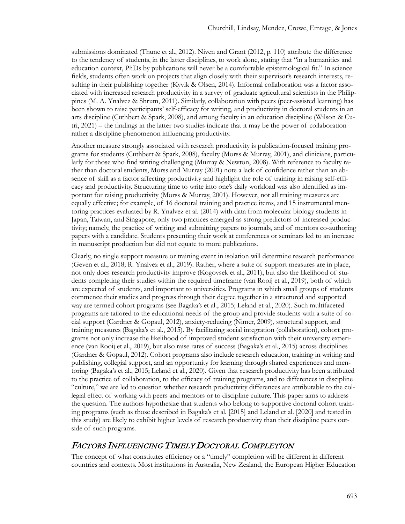submissions dominated (Thune et al., 2012). Niven and Grant (2012, p. 110) attribute the difference to the tendency of students, in the latter disciplines, to work alone, stating that "in a humanities and education context, PhDs by publications will never be a comfortable epistemological fit." In science fields, students often work on projects that align closely with their supervisor's research interests, resulting in their publishing together (Kyvik & Olsen, 2014). Informal collaboration was a factor associated with increased research productivity in a survey of graduate agricultural scientists in the Philippines (M. A. Ynalvez & Shrum, 2011). Similarly, collaboration with peers (peer-assisted learning) has been shown to raise participants' self-efficacy for writing, and productivity in doctoral students in an arts discipline (Cuthbert & Spark, 2008), and among faculty in an education discipline (Wilson & Cutri, 2021) – the findings in the latter two studies indicate that it may be the power of collaboration rather a discipline phenomenon influencing productivity.

Another measure strongly associated with research productivity is publication-focused training programs for students (Cuthbert & Spark, 2008), faculty (Morss & Murray, 2001), and clinicians, particularly for those who find writing challenging (Murray & Newton, 2008). With reference to faculty rather than doctoral students, Morss and Murray (2001) note a lack of confidence rather than an absence of skill as a factor affecting productivity and highlight the role of training in raising self-efficacy and productivity. Structuring time to write into one's daily workload was also identified as important for raising productivity (Morss & Murray, 2001). However, not all training measures are equally effective; for example, of 16 doctoral training and practice items, and 15 instrumental mentoring practices evaluated by R. Ynalvez et al. (2014) with data from molecular biology students in Japan, Taiwan, and Singapore, only two practices emerged as strong predictors of increased productivity; namely, the practice of writing and submitting papers to journals, and of mentors co-authoring papers with a candidate. Students presenting their work at conferences or seminars led to an increase in manuscript production but did not equate to more publications.

Clearly, no single support measure or training event in isolation will determine research performance (Geven et al., 2018; R. Ynalvez et al., 2019). Rather, where a suite of support measures are in place, not only does research productivity improve (Kogovsek et al., 2011), but also the likelihood of students completing their studies within the required timeframe (van Rooij et al., 2019), both of which are expected of students, and important to universities. Programs in which small groups of students commence their studies and progress through their degree together in a structured and supported way are termed cohort programs (see Bagaka's et al., 2015; Leland et al., 2020). Such multifaceted programs are tailored to the educational needs of the group and provide students with a suite of social support (Gardner & Gopaul, 2012), anxiety-reducing (Nimer, 2009), structural support, and training measures (Bagaka's et al., 2015). By facilitating social integration (collaboration), cohort programs not only increase the likelihood of improved student satisfaction with their university experience (van Rooij et al., 2019), but also raise rates of success (Bagaka's et al., 2015) across disciplines (Gardner & Gopaul, 2012). Cohort programs also include research education, training in writing and publishing, collegial support, and an opportunity for learning through shared experiences and mentoring (Bagaka's et al., 2015; Leland et al., 2020). Given that research productivity has been attributed to the practice of collaboration, to the efficacy of training programs, and to differences in discipline "culture," we are led to question whether research productivity differences are attributable to the collegial effect of working with peers and mentors or to discipline culture. This paper aims to address the question. The authors hypothesize that students who belong to supportive doctoral cohort training programs (such as those described in Bagaka's et al. [2015] and Leland et al. [2020] and tested in this study) are likely to exhibit higher levels of research productivity than their discipline peers outside of such programs.

### FACTORS INFLUENCING TIMELY DOCTORAL COMPLETION

The concept of what constitutes efficiency or a "timely" completion will be different in different countries and contexts. Most institutions in Australia, New Zealand, the European Higher Education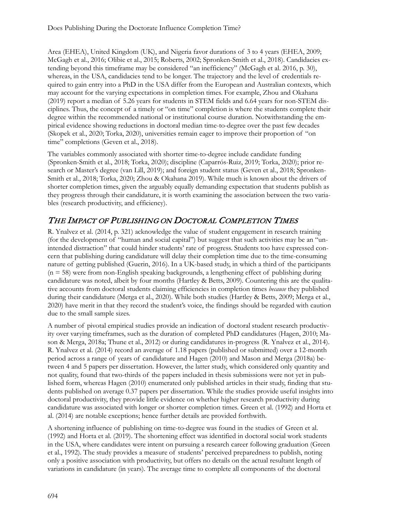Area (EHEA), United Kingdom (UK), and Nigeria favor durations of 3 to 4 years (EHEA, 2009; McGagh et al., 2016; Olibie et al., 2015; Roberts, 2002; Spronken-Smith et al., 2018). Candidacies extending beyond this timeframe may be considered "an inefficiency" (McGagh et al. 2016, p. 30), whereas, in the USA, candidacies tend to be longer. The trajectory and the level of credentials required to gain entry into a PhD in the USA differ from the European and Australian contexts, which may account for the varying expectations in completion times. For example, Zhou and Okahana (2019) report a median of 5.26 years for students in STEM fields and 6.64 years for non-STEM disciplines. Thus, the concept of a timely or "on time" completion is where the students complete their degree within the recommended national or institutional course duration. Notwithstanding the empirical evidence showing reductions in doctoral median time-to-degree over the past few decades (Skopek et al., 2020; Torka, 2020), universities remain eager to improve their proportion of "on time" completions (Geven et al., 2018).

The variables commonly associated with shorter time-to-degree include candidate funding (Spronken-Smith et al., 2018; Torka, 2020); discipline (Caparrós-Ruiz, 2019; Torka, 2020); prior research or Master's degree (van Lill, 2019); and foreign student status (Geven et al., 2018; Spronken-Smith et al., 2018; Torka, 2020; Zhou & Okahana 2019). While much is known about the drivers of shorter completion times, given the arguably equally demanding expectation that students publish as they progress through their candidature, it is worth examining the association between the two variables (research productivity, and efficiency).

### THE IMPACT OF PUBLISHING ON DOCTORAL COMPLETION TIMES

R. Ynalvez et al. (2014, p. 321) acknowledge the value of student engagement in research training (for the development of "human and social capital") but suggest that such activities may be an "unintended distraction" that could hinder students' rate of progress. Students too have expressed concern that publishing during candidature will delay their completion time due to the time-consuming nature of getting published (Guerin, 2016). In a UK-based study, in which a third of the participants (n = 58) were from non-English speaking backgrounds, a lengthening effect of publishing during candidature was noted, albeit by four months (Hartley & Betts, 2009). Countering this are the qualitative accounts from doctoral students claiming efficiencies in completion times *because* they published during their candidature (Merga et al., 2020). While both studies (Hartley & Betts, 2009; Merga et al., 2020) have merit in that they record the student's voice, the findings should be regarded with caution due to the small sample sizes.

A number of pivotal empirical studies provide an indication of doctoral student research productivity over varying timeframes, such as the duration of completed PhD candidatures (Hagen, 2010; Mason & Merga, 2018a; Thune et al., 2012) or during candidatures in-progress (R. Ynalvez et al., 2014). R. Ynalvez et al. (2014) record an average of 1.18 papers (published or submitted) over a 12-month period across a range of years of candidature and Hagen (2010) and Mason and Merga (2018a) between 4 and 5 papers per dissertation. However, the latter study, which considered only quantity and not quality, found that two-thirds of the papers included in thesis submissions were not yet in published form, whereas Hagen (2010) enumerated only published articles in their study, finding that students published on average 0.37 papers per dissertation. While the studies provide useful insights into doctoral productivity, they provide little evidence on whether higher research productivity during candidature was associated with longer or shorter completion times. Green et al. (1992) and Horta et al. (2014) are notable exceptions; hence further details are provided forthwith.

A shortening influence of publishing on time-to-degree was found in the studies of Green et al. (1992) and Horta et al. (2019). The shortening effect was identified in doctoral social work students in the USA, where candidates were intent on pursuing a research career following graduation (Green et al., 1992). The study provides a measure of students' perceived preparedness to publish, noting only a positive association with productivity, but offers no details on the actual resultant length of variations in candidature (in years). The average time to complete all components of the doctoral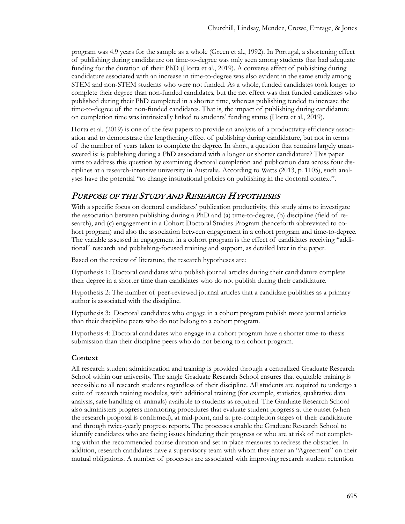program was 4.9 years for the sample as a whole (Green et al., 1992). In Portugal, a shortening effect of publishing during candidature on time-to-degree was only seen among students that had adequate funding for the duration of their PhD (Horta et al., 2019). A converse effect of publishing during candidature associated with an increase in time-to-degree was also evident in the same study among STEM and non-STEM students who were not funded. As a whole, funded candidates took longer to complete their degree than non-funded candidates, but the net effect was that funded candidates who published during their PhD completed in a shorter time, whereas publishing tended to increase the time-to-degree of the non-funded candidates. That is, the impact of publishing during candidature on completion time was intrinsically linked to students' funding status (Horta et al., 2019).

Horta et al. (2019) is one of the few papers to provide an analysis of a productivity-efficiency association and to demonstrate the lengthening effect of publishing during candidature, but not in terms of the number of years taken to complete the degree. In short, a question that remains largely unanswered is: is publishing during a PhD associated with a longer or shorter candidature? This paper aims to address this question by examining doctoral completion and publication data across four disciplines at a research-intensive university in Australia. According to Watts (2013, p. 1105), such analyses have the potential "to change institutional policies on publishing in the doctoral context".

### PURPOSE OF THE STUDY AND RESEARCH HYPOTHESES

With a specific focus on doctoral candidates' publication productivity, this study aims to investigate the association between publishing during a PhD and (a) time-to-degree, (b) discipline (field of research), and (c) engagement in a Cohort Doctoral Studies Program (henceforth abbreviated to cohort program) and also the association between engagement in a cohort program and time-to-degree. The variable assessed in engagement in a cohort program is the effect of candidates receiving "additional" research and publishing-focused training and support, as detailed later in the paper.

Based on the review of literature, the research hypotheses are:

Hypothesis 1: Doctoral candidates who publish journal articles during their candidature complete their degree in a shorter time than candidates who do not publish during their candidature.

Hypothesis 2: The number of peer-reviewed journal articles that a candidate publishes as a primary author is associated with the discipline.

Hypothesis 3: Doctoral candidates who engage in a cohort program publish more journal articles than their discipline peers who do not belong to a cohort program.

Hypothesis 4: Doctoral candidates who engage in a cohort program have a shorter time-to-thesis submission than their discipline peers who do not belong to a cohort program.

#### **Context**

All research student administration and training is provided through a centralized Graduate Research School within our university. The single Graduate Research School ensures that equitable training is accessible to all research students regardless of their discipline. All students are required to undergo a suite of research training modules, with additional training (for example, statistics, qualitative data analysis, safe handling of animals) available to students as required. The Graduate Research School also administers progress monitoring procedures that evaluate student progress at the outset (when the research proposal is confirmed), at mid-point, and at pre-completion stages of their candidature and through twice-yearly progress reports. The processes enable the Graduate Research School to identify candidates who are facing issues hindering their progress or who are at risk of not completing within the recommended course duration and set in place measures to redress the obstacles. In addition, research candidates have a supervisory team with whom they enter an "Agreement" on their mutual obligations. A number of processes are associated with improving research student retention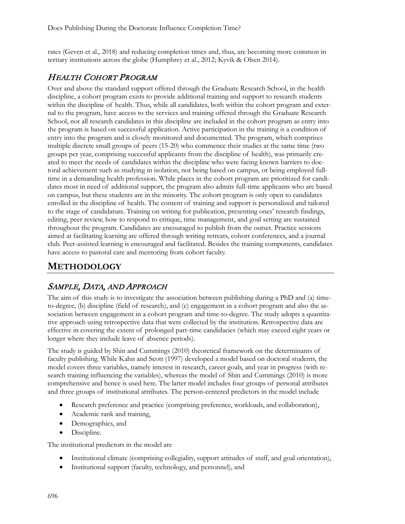rates (Geven et al., 2018) and reducing completion times and, thus, are becoming more common in tertiary institutions across the globe (Humphrey et al., 2012; Kyvik & Olsen 2014).

### HEALTH COHORT PROGRAM

Over and above the standard support offered through the Graduate Research School, in the health discipline, a cohort program exists to provide additional training and support to research students within the discipline of health. Thus, while all candidates, both within the cohort program and external to the program, have access to the services and training offered through the Graduate Research School, not all research candidates in this discipline are included in the cohort program as entry into the program is based on successful application. Active participation in the training is a condition of entry into the program and is closely monitored and documented. The program, which comprises multiple discrete small groups of peers (15-20) who commence their studies at the same time (two groups per year, comprising successful applicants from the discipline of health), was primarily created to meet the needs of candidates within the discipline who were facing known barriers to doctoral achievement such as studying in isolation, not being based on campus, or being employed fulltime in a demanding health profession. While places in the cohort program are prioritized for candidates most in need of additional support, the program also admits full-time applicants who are based on campus, but these students are in the minority. The cohort program is only open to candidates enrolled in the discipline of health. The content of training and support is personalized and tailored to the stage of candidature. Training on writing for publication, presenting ones' research findings, editing, peer review, how to respond to critique, time management, and goal setting are sustained throughout the program. Candidates are encouraged to publish from the outset. Practice sessions aimed at facilitating learning are offered through writing retreats, cohort conferences, and a journal club. Peer-assisted learning is encouraged and facilitated. Besides the training components, candidates have access to pastoral care and mentoring from cohort faculty.

# **METHODOLOGY**

### SAMPLE, DATA, AND APPROACH

The aim of this study is to investigate the association between publishing during a PhD and (a) timeto-degree, (b) discipline (field of research), and (c) engagement in a cohort program and also the association between engagement in a cohort program and time-to-degree. The study adopts a quantitative approach using retrospective data that were collected by the institution. Retrospective data are effective in covering the extent of prolonged part-time candidacies (which may exceed eight years or longer where they include leave of absence periods).

The study is guided by Shin and Cummings (2010) theoretical framework on the determinants of faculty publishing. While Kahn and Scott (1997) developed a model based on doctoral students, the model covers three variables, namely interest in research, career goals, and year in progress (with research training influencing the variables), whereas the model of Shin and Cummings (2010) is more comprehensive and hence is used here. The latter model includes four groups of personal attributes and three groups of institutional attributes. The person-centered predictors in the model include

- Research preference and practice (comprising preference, workloads, and collaboration),
- Academic rank and training,
- Demographics, and
- Discipline.

The institutional predictors in the model are

- Institutional climate (comprising collegiality, support attitudes of staff, and goal orientation),
- Institutional support (faculty, technology, and personnel), and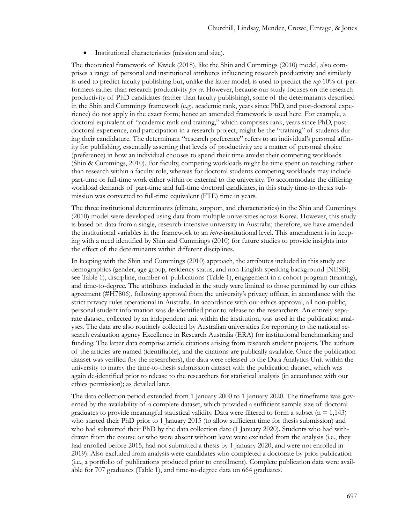• Institutional characteristics (mission and size).

The theoretical framework of Kwiek (2018), like the Shin and Cummings (2010) model, also comprises a range of personal and institutional attributes influencing research productivity and similarly is used to predict faculty publishing but, unlike the latter model, is used to predict the *top* 10% of performers rather than research productivity *per se.* However, because our study focuses on the research productivity of PhD candidates (rather than faculty publishing), some of the determinants described in the Shin and Cummings framework (e.g., academic rank, years since PhD, and post-doctoral experience) do not apply in the exact form; hence an amended framework is used here. For example, a doctoral equivalent of "academic rank and training," which comprises rank, years since PhD, postdoctoral experience, and participation in a research project, might be the "training" of students during their candidature. The determinant "research preference" refers to an individual's personal affinity for publishing, essentially asserting that levels of productivity are a matter of personal choice (preference) in how an individual chooses to spend their time amidst their competing workloads (Shin & Cummings, 2010). For faculty, competing workloads might be time spent on teaching rather than research within a faculty role, whereas for doctoral students competing workloads may include part-time or full-time work either within or external to the university. To accommodate the differing workload demands of part-time and full-time doctoral candidates, in this study time-to-thesis submission was converted to full-time equivalent (FTE) time in years.

The three institutional determinants (climate, support, and characteristics) in the Shin and Cummings (2010) model were developed using data from multiple universities across Korea. However, this study is based on data from a single, research-intensive university in Australia; therefore, we have amended the institutional variables in the framework to an *intra*-institutional level. This amendment is in keeping with a need identified by Shin and Cummings (2010) for future studies to provide insights into the effect of the determinants within different disciplines.

In keeping with the Shin and Cummings (2010) approach, the attributes included in this study are: demographics (gender, age group, residency status, and non-English speaking background [NESB]; see Table 1), discipline, number of publications (Table 1), engagement in a cohort program (training), and time-to-degree. The attributes included in the study were limited to those permitted by our ethics agreement (#H7806), following approval from the university's privacy officer, in accordance with the strict privacy rules operational in Australia. In accordance with our ethics approval, all non-public, personal student information was de-identified prior to release to the researchers. An entirely separate dataset, collected by an independent unit within the institution, was used in the publication analyses. The data are also routinely collected by Australian universities for reporting to the national research evaluation agency Excellence in Research Australia (ERA) for institutional benchmarking and funding. The latter data comprise article citations arising from research student projects. The authors of the articles are named (identifiable), and the citations are publically available. Once the publication dataset was verified (by the researchers), the data were released to the Data Analytics Unit within the university to marry the time-to-thesis submission dataset with the publication dataset, which was again de-identified prior to release to the researchers for statistical analysis (in accordance with our ethics permission); as detailed later.

The data collection period extended from 1 January 2000 to 1 January 2020. The timeframe was governed by the availability of a complete dataset, which provided a sufficient sample size of doctoral graduates to provide meaningful statistical validity. Data were filtered to form a subset ( $n = 1,143$ ) who started their PhD prior to 1 January 2015 (to allow sufficient time for thesis submission) and who had submitted their PhD by the data collection date (1 January 2020). Students who had withdrawn from the course or who were absent without leave were excluded from the analysis (i.e., they had enrolled before 2015, had not submitted a thesis by 1 January 2020, and were not enrolled in 2019). Also excluded from analysis were candidates who completed a doctorate by prior publication (i.e., a portfolio of publications produced prior to enrollment). Complete publication data were available for 707 graduates (Table 1), and time-to-degree data on 664 graduates.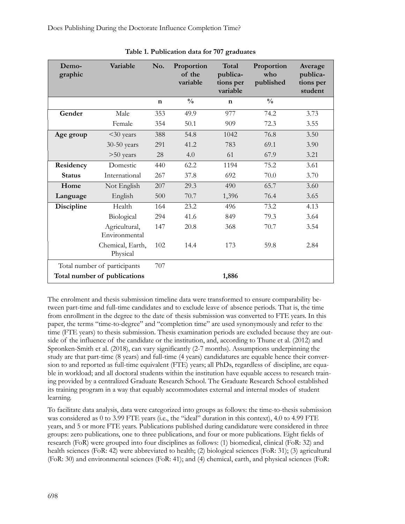| Demo-<br>graphic | Variable                       | No.         | Proportion<br>of the<br>variable | Total<br>publica-<br>tions per<br>variable | Proportion<br>who<br>published | Average<br>publica-<br>tions per<br>student |
|------------------|--------------------------------|-------------|----------------------------------|--------------------------------------------|--------------------------------|---------------------------------------------|
|                  |                                | $\mathbf n$ | $\frac{0}{0}$                    | $\mathbf n$                                | $\frac{0}{0}$                  |                                             |
| Gender           | Male                           | 353         | 49.9                             | 977                                        | 74.2                           | 3.73                                        |
|                  | Female                         | 354         | 50.1                             | 909                                        | 72.3                           | 3.55                                        |
| Age group        | $<$ 30 years                   | 388         | 54.8                             | 1042                                       | 76.8                           | 3.50                                        |
|                  | $30-50$ years                  | 291         | 41.2                             | 783                                        | 69.1                           | 3.90                                        |
|                  | $>50$ years                    | 28          | 4.0                              | 61                                         | 67.9                           | 3.21                                        |
| Residency        | Domestic                       | 440         | 62.2                             | 1194                                       | 75.2                           | 3.61                                        |
| <b>Status</b>    | International                  | 267         | 37.8                             | 692                                        | 70.0                           | 3.70                                        |
| Home             | Not English                    | 207         | 29.3                             | 490                                        | 65.7                           | 3.60                                        |
| Language         | English                        | 500         | 70.7                             | 1,396                                      | 76.4                           | 3.65                                        |
| Discipline       | Health                         | 164         | 23.2                             | 496                                        | 73.2                           | 4.13                                        |
|                  | Biological                     | 294         | 41.6                             | 849                                        | 79.3                           | 3.64                                        |
|                  | Agricultural,<br>Environmental | 147         | 20.8                             | 368                                        | 70.7                           | 3.54                                        |
|                  | Chemical, Earth,<br>Physical   | 102         | 14.4                             | 173                                        | 59.8                           | 2.84                                        |
|                  | Total number of participants   | 707         |                                  |                                            |                                |                                             |
|                  | Total number of publications   |             |                                  | 1,886                                      |                                |                                             |

**Table 1. Publication data for 707 graduates**

The enrolment and thesis submission timeline data were transformed to ensure comparability between part-time and full-time candidates and to exclude leave of absence periods. That is, the time from enrollment in the degree to the date of thesis submission was converted to FTE years. In this paper, the terms "time-to-degree" and "completion time" are used synonymously and refer to the time (FTE years) to thesis submission. Thesis examination periods are excluded because they are outside of the influence of the candidate or the institution, and, according to Thune et al. (2012) and Spronken-Smith et al. (2018), can vary significantly (2-7 months). Assumptions underpinning the study are that part-time (8 years) and full-time (4 years) candidatures are equable hence their conversion to and reported as full-time equivalent (FTE) years; all PhDs, regardless of discipline, are equable in workload; and all doctoral students within the institution have equable access to research training provided by a centralized Graduate Research School. The Graduate Research School established its training program in a way that equably accommodates external and internal modes of student learning.

To facilitate data analysis, data were categorized into groups as follows: the time-to-thesis submission was considered as 0 to 3.99 FTE years (i.e., the "ideal" duration in this context), 4.0 to 4.99 FTE years, and 5 or more FTE years. Publications published during candidature were considered in three groups: zero publications, one to three publications, and four or more publications. Eight fields of research (FoR) were grouped into four disciplines as follows: (1) biomedical, clinical (FoR: 32) and health sciences (FoR: 42) were abbreviated to health; (2) biological sciences (FoR: 31); (3) agricultural (FoR: 30) and environmental sciences (FoR: 41); and (4) chemical, earth, and physical sciences (FoR: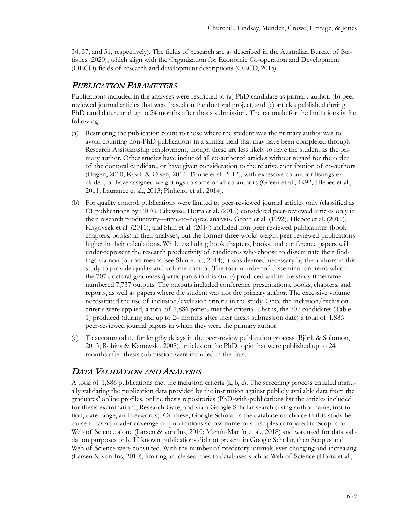34, 37, and 51, respectively). The fields of research are as described in the Australian Bureau of Statistics (2020), which align with the Organization for Economic Co-operation and Development (OECD) fields of research and development descriptions (OECD, 2015).

#### PUBLICATION PARAMETERS

Publications included in the analyses were restricted to (a) PhD candidate as primary author, (b) peerreviewed journal articles that were based on the doctoral project, and (c) articles published during PhD candidature and up to 24 months after thesis submission. The rationale for the limitations is the following:

- (a) Restricting the publication count to those where the student was the primary author was to avoid counting non-PhD publications in a similar field that may have been completed through Research Assistantship employment, though these are less likely to have the student as the primary author. Other studies have included all co-authored articles without regard for the order of the doctoral candidate, or have given consideration to the relative contribution of co-authors (Hagen, 2010; Kyvik & Olsen, 2014; Thune et al. 2012), with excessive co-author listings excluded, or have assigned weightings to some or all co-authors (Green et al., 1992; Hlebec et al., 2011; Laurance et al., 2013; Pinheiro et al., 2014).
- (b) For quality control, publications were limited to peer-reviewed journal articles only (classified as C1 publications by ERA). Likewise, Horta et al. (2019) considered peer-reviewed articles only in their research productivity—time-to-degree analysis. Green et al. (1992), Hlebec et al. (2011), Kogovsek et al. (2011), and Shin et al. (2014) included non-peer-reviewed publications (book chapters, books) in their analyses, but the former three works weight peer-reviewed publications higher in their calculations. While excluding book chapters, books, and conference papers will under-represent the research productivity of candidates who choose to disseminate their findings via non-journal means (see Shin et al., 2014), it was deemed necessary by the authors in this study to provide quality and volume control. The total number of dissemination items which the 707 doctoral graduates (participants in this study) produced within the study timeframe numbered 7,737 outputs. The outputs included conference presentations, books, chapters, and reports, as well as papers where the student was not the primary author. The excessive volume necessitated the use of inclusion/exclusion criteria in the study. Once the inclusion/exclusion criteria were applied, a total of 1,886 papers met the criteria. That is, the 707 candidates (Table 1) produced (during and up to 24 months after their thesis submission date) a total of 1,886 peer-reviewed journal papers in which they were the primary author.
- (c) To accommodate for lengthy delays in the peer-review publication process (Björk & Solomon, 2013; Robins & Kanowski, 2008), articles on the PhD topic that were published up to 24 months after thesis submission were included in the data.

#### DATA VALIDATION AND ANALYSES

A total of 1,886 publications met the inclusion criteria (a, b, c). The screening process entailed manually validating the publication data provided by the institution against publicly available data from the graduates' online profiles, online thesis repositories (PhD-with-publications list the articles included for thesis examination), Research Gate, and via a Google Scholar search (using author name, institution, date-range, and keywords). Of these, Google Scholar is the database of choice in this study because it has a broader coverage of publications across numerous disciples compared to Scopus or Web of Science alone (Larsen & von Ins, 2010; Martín-Martín et al., 2018) and was used for data validation purposes only. If known publications did not present in Google Scholar, then Scopus and Web of Science were consulted. With the number of predatory journals ever-changing and increasing (Larsen & von Ins, 2010), limiting article searches to databases such as Web of Science (Horta et al.,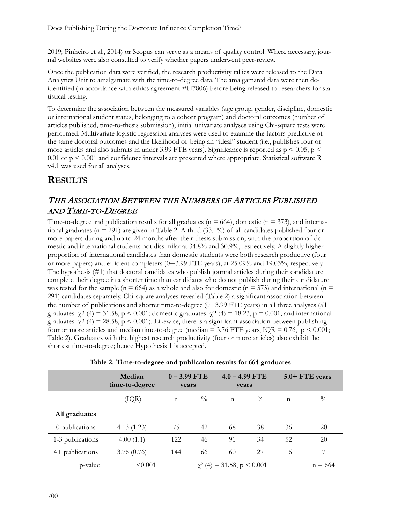2019; Pinheiro et al., 2014) or Scopus can serve as a means of quality control. Where necessary, journal websites were also consulted to verify whether papers underwent peer-review.

Once the publication data were verified, the research productivity tallies were released to the Data Analytics Unit to amalgamate with the time-to-degree data. The amalgamated data were then deidentified (in accordance with ethics agreement #H7806) before being released to researchers for statistical testing.

To determine the association between the measured variables (age group, gender, discipline, domestic or international student status, belonging to a cohort program) and doctoral outcomes (number of articles published, time-to-thesis submission), initial univariate analyses using Chi-square tests were performed. Multivariate logistic regression analyses were used to examine the factors predictive of the same doctoral outcomes and the likelihood of being an "ideal" student (i.e., publishes four or more articles and also submits in under 3.99 FTE years). Significance is reported as  $p \le 0.05$ ,  $p \le$ 0.01 or p < 0.001 and confidence intervals are presented where appropriate. Statistical software R v4.1 was used for all analyses.

# **RESULTS**

### THE ASSOCIATION BETWEEN THE NUMBERS OF ARTICLES PUBLISHED AND TIME-TO-DEGREE

Time-to-degree and publication results for all graduates ( $n = 664$ ), domestic ( $n = 373$ ), and international graduates ( $n = 291$ ) are given in Table 2. A third (33.1%) of all candidates published four or more papers during and up to 24 months after their thesis submission, with the proportion of domestic and international students not dissimilar at 34.8% and 30.9%, respectively. A slightly higher proportion of international candidates than domestic students were both research productive (four or more papers) and efficient completers (0−3.99 FTE years), at 25.09% and 19.03%, respectively. The hypothesis (#1) that doctoral candidates who publish journal articles during their candidature complete their degree in a shorter time than candidates who do not publish during their candidature was tested for the sample (n = 664) as a whole and also for domestic (n = 373) and international (n = 291) candidates separately. Chi-square analyses revealed (Table 2) a significant association between the number of publications and shorter time-to-degree (0−3.99 FTE years) in all three analyses (all graduates:  $\chi$ 2 (4) = 31.58, p < 0.001; domestic graduates:  $\chi$ 2 (4) = 18.23, p = 0.001; and international graduates:  $\chi$ 2 (4) = 28.58, p < 0.001). Likewise, there is a significant association between publishing four or more articles and median time-to-degree (median =  $3.76$  FTE years, IQR =  $0.76$ , p <  $0.001$ ; Table 2). Graduates with the highest research productivity (four or more articles) also exhibit the shortest time-to-degree; hence Hypothesis 1 is accepted.

|                  | Median<br>time-to-degree | $0 - 3.99$ FTE<br>years         |               | $4.0 - 4.99$ FTE<br>years |               |           | 5.0+ FTE years |
|------------------|--------------------------|---------------------------------|---------------|---------------------------|---------------|-----------|----------------|
|                  | ( IQR)                   | $\mathbf n$                     | $\frac{0}{0}$ | $\mathbf n$               | $\frac{0}{0}$ | n         | $\frac{0}{0}$  |
| All graduates    |                          |                                 |               |                           |               |           |                |
| 0 publications   | 4.13(1.23)               | 75                              | 42            | 68                        | 38            | 36        | 20             |
| 1-3 publications | 4.00(1.1)                | 122                             | 46            | 91                        | 34            | 52        | 20             |
| 4+ publications  | 3.76(0.76)               | 144                             | 66            | 60                        | 27            | 16        |                |
| p-value          | < 0.001                  | $\chi^2$ (4) = 31.58, p < 0.001 |               |                           |               | $n = 664$ |                |

#### **Table 2. Time-to-degree and publication results for 664 graduates**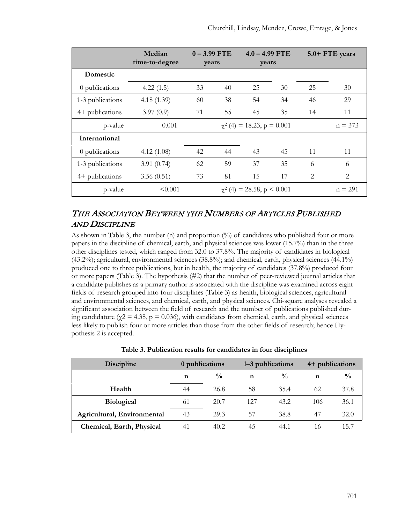|                  | Median<br>time-to-degree | $0 - 3.99$ FTE<br>years |    | $4.0 - 4.99$ FTE<br>years       |    |                | 5.0+ FTE years |
|------------------|--------------------------|-------------------------|----|---------------------------------|----|----------------|----------------|
| Domestic         |                          |                         |    |                                 |    |                |                |
| 0 publications   | 4.22(1.5)                | 33                      | 40 | 25                              | 30 | 25             | 30             |
| 1-3 publications | 4.18(1.39)               | 60                      | 38 | 54                              | 34 | 46             | 29             |
| 4+ publications  | 3.97(0.9)                | 71                      | 55 | 45                              | 35 | 14             | 11             |
| p-value          | 0.001                    |                         |    | $\chi^2$ (4) = 18.23, p = 0.001 |    |                | $n = 373$      |
| International    |                          |                         |    |                                 |    |                |                |
| 0 publications   | 4.12(1.08)               | 42                      | 44 | 43                              | 45 | 11             | 11             |
| 1-3 publications | 3.91(0.74)               | 62                      | 59 | 37                              | 35 | 6              | 6              |
| 4+ publications  | 3.56(0.51)               | 73                      | 81 | 15                              | 17 | $\mathfrak{D}$ | $\overline{2}$ |
| p-value          | < 0.001                  |                         |    | $\chi^2$ (4) = 28.58, p < 0.001 |    |                | $n = 291$      |

## THE ASSOCIATION BETWEEN THE NUMBERS OF ARTICLES PUBLISHED AND DISCIPLINE

As shown in Table 3, the number (n) and proportion  $\frac{1}{2}$  of candidates who published four or more papers in the discipline of chemical, earth, and physical sciences was lower (15.7%) than in the three other disciplines tested, which ranged from 32.0 to 37.8%. The majority of candidates in biological (43.2%); agricultural, environmental sciences (38.8%); and chemical, earth, physical sciences (44.1%) produced one to three publications, but in health, the majority of candidates (37.8%) produced four or more papers (Table 3). The hypothesis (#2) that the number of peer-reviewed journal articles that a candidate publishes as a primary author is associated with the discipline was examined across eight fields of research grouped into four disciplines (Table 3) as health, biological sciences, agricultural and environmental sciences, and chemical, earth, and physical sciences. Chi-square analyses revealed a significant association between the field of research and the number of publications published during candidature ( $\chi$ 2 = 4.38, p = 0.036), with candidates from chemical, earth, and physical sciences less likely to publish four or more articles than those from the other fields of research; hence Hypothesis 2 is accepted.

| Discipline                  | 0 publications |               |     | 1–3 publications | 4+ publications |               |  |
|-----------------------------|----------------|---------------|-----|------------------|-----------------|---------------|--|
|                             | n              | $\frac{0}{0}$ | n   | $\frac{0}{0}$    | n               | $\frac{0}{0}$ |  |
| Health                      | 44             | 26.8          | 58  | 35.4             | 62              | 37.8          |  |
| <b>Biological</b>           | 61             | 20.7          | 127 | 43.2             | 106             | 36.1          |  |
| Agricultural, Environmental | 43             | 29.3          | 57  | 38.8             | 47              | 32.0          |  |
| Chemical, Earth, Physical   | 41             | 40.2          | 45  | 44.1             | 16              | 15.1          |  |

**Table 3. Publication results for candidates in four disciplines**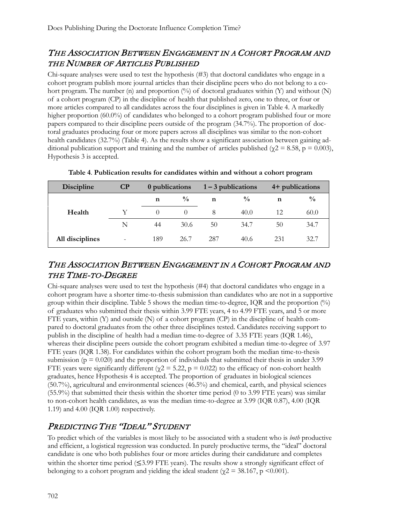### THE ASSOCIATION BETWEEN ENGAGEMENT IN A COHORT PROGRAM AND THE NUMBER OF ARTICLES PUBLISHED

Chi-square analyses were used to test the hypothesis (#3) that doctoral candidates who engage in a cohort program publish more journal articles than their discipline peers who do not belong to a cohort program. The number (n) and proportion (%) of doctoral graduates within (Y) and without (N) of a cohort program (CP) in the discipline of health that published zero, one to three, or four or more articles compared to all candidates across the four disciplines is given in Table 4. A markedly higher proportion (60.0%) of candidates who belonged to a cohort program published four or more papers compared to their discipline peers outside of the program (34.7%). The proportion of doctoral graduates producing four or more papers across all disciplines was similar to the non-cohort health candidates (32.7%) (Table 4). As the results show a significant association between gaining additional publication support and training and the number of articles published ( $\chi$ 2 = 8.58, p = 0.003), Hypothesis 3 is accepted.

| <b>Discipline</b> | $\overline{\mathbf{CP}}$ | 0 publications |             | $1 - 3$ publications |               | 4+ publications |               |
|-------------------|--------------------------|----------------|-------------|----------------------|---------------|-----------------|---------------|
|                   |                          | n              | $^{0}/_{0}$ | n                    | $\frac{0}{0}$ | n               | $\frac{0}{0}$ |
| Health            | V                        | $\theta$       |             | 8                    | 40.0          | 12              | 60.0          |
|                   | N                        | 44             | 30.6        | 50                   | 34.7          | 50              | 34.7          |
| All disciplines   | $\overline{\phantom{0}}$ | 189            | 26.7        | 287                  | 40.6          | 231             | 32.7          |

**Table 4**. **Publication results for candidates within and without a cohort program** 

### THE ASSOCIATION BETWEEN ENGAGEMENT IN A COHORT PROGRAM AND THE TIME-TO-DEGREE

Chi-square analyses were used to test the hypothesis (#4) that doctoral candidates who engage in a cohort program have a shorter time-to-thesis submission than candidates who are not in a supportive group within their discipline. Table 5 shows the median time-to-degree, IQR and the proportion (%) of graduates who submitted their thesis within 3.99 FTE years, 4 to 4.99 FTE years, and 5 or more FTE years, within  $(Y)$  and outside  $(N)$  of a cohort program  $(CP)$  in the discipline of health compared to doctoral graduates from the other three disciplines tested. Candidates receiving support to publish in the discipline of health had a median time-to-degree of 3.35 FTE years (IQR 1.46), whereas their discipline peers outside the cohort program exhibited a median time-to-degree of 3.97 FTE years (IQR 1.38). For candidates within the cohort program both the median time-to-thesis submission ( $p = 0.020$ ) and the proportion of individuals that submitted their thesis in under 3.99 FTE years were significantly different ( $\gamma$ 2 = 5.22, p = 0.022) to the efficacy of non-cohort health graduates, hence Hypothesis 4 is accepted. The proportion of graduates in biological sciences (50.7%), agricultural and environmental sciences (46.5%) and chemical, earth, and physical sciences (55.9%) that submitted their thesis within the shorter time period (0 to 3.99 FTE years) was similar to non-cohort health candidates, as was the median time-to-degree at 3.99 (IQR 0.87), 4.00 (IQR 1.19) and 4.00 (IQR 1.00) respectively.

### PREDICTING THE "IDEAL" STUDENT

To predict which of the variables is most likely to be associated with a student who is *both* productive and efficient, a logistical regression was conducted. In purely productive terms, the "ideal" doctoral candidate is one who both publishes four or more articles during their candidature and completes within the shorter time period ( $\leq$ 3.99 FTE years). The results show a strongly significant effect of belonging to a cohort program and yielding the ideal student ( $\chi$ 2 = 38.167, p <0.001).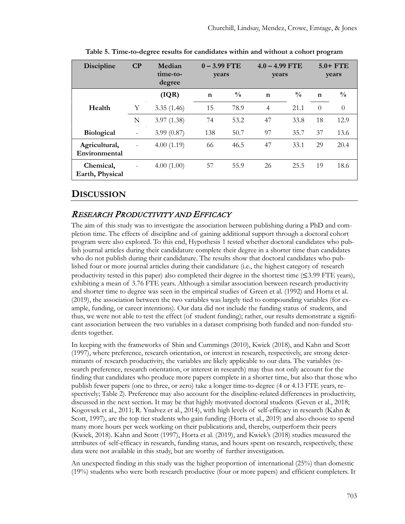| Discipline                     | $\bf CP$                 | Median<br>time-to-<br>degree | $0 - 3.99$ FTE<br>years |               | $4.0 - 4.99$ FTE<br>years |               | $5.0+$ FTE<br>years |               |
|--------------------------------|--------------------------|------------------------------|-------------------------|---------------|---------------------------|---------------|---------------------|---------------|
|                                |                          | (IQR)                        | $\mathbf n$             | $\frac{0}{0}$ | $\mathbf n$               | $\frac{0}{0}$ | $\mathbf n$         | $\frac{0}{0}$ |
| Health                         | Y                        | 3.35(1.46)                   | 15                      | 78.9          | $\overline{4}$            | 21.1          | $\Omega$            | $\theta$      |
|                                | N                        | 3.97(1.38)                   | 74                      | 53.2          | 47                        | 33.8          | 18                  | 12.9          |
| <b>Biological</b>              | $\overline{\phantom{a}}$ | 3.99(0.87)                   | 138                     | 50.7          | 97                        | 35.7          | 37                  | 13.6          |
| Agricultural,<br>Environmental | $\overline{\phantom{0}}$ | 4.00(1.19)                   | 66                      | 46.5          | 47                        | 33.1          | 29                  | 20.4          |
| Chemical,<br>Earth, Physical   |                          | 4.00(1.00)                   | 57                      | 55.9          | 26                        | 25.5          | 19                  | 18.6          |

**Table 5. Time-to-degree results for candidates within and without a cohort program** 

### **DISCUSSION**

### RESEARCH PRODUCTIVITY AND EFFICACY

The aim of this study was to investigate the association between publishing during a PhD and completion time. The effects of discipline and of gaining additional support through a doctoral cohort program were also explored. To this end, Hypothesis 1 tested whether doctoral candidates who publish journal articles during their candidature complete their degree in a shorter time than candidates who do not publish during their candidature. The results show that doctoral candidates who published four or more journal articles during their candidature (i.e., the highest category of research productivity tested in this paper) also completed their degree in the shortest time  $(\leq 3.99$  FTE years), exhibiting a mean of 3.76 FTE years. Although a similar association between research productivity and shorter time to degree was seen in the empirical studies of Green et al. (1992) and Horta et al. (2019), the association between the two variables was largely tied to compounding variables (for example, funding, or career intentions). Our data did not include the funding status of students, and thus, we were not able to test the effect (of student funding); rather, our results demonstrate a significant association between the two variables in a dataset comprising both funded and non-funded students together.

In keeping with the frameworks of Shin and Cummings (2010), Kwiek (2018), and Kahn and Scott (1997), where preference, research orientation, or interest in research, respectively, are strong determinants of research productivity, the variables are likely applicable to our data. The variables (research preference, research orientation, or interest in research) may thus not only account for the finding that candidates who produce more papers complete in a shorter time, but also that those who publish fewer papers (one to three, or zero) take a longer time-to-degree (4 or 4.13 FTE years, respectively; Table 2). Preference may also account for the discipline-related differences in productivity, discussed in the next section. It may be that highly motivated doctoral students (Geven et al., 2018; Kogovsek et al., 2011; R. Ynalvez et al., 2014), with high levels of self-efficacy in research (Kahn & Scott, 1997), are the top tier students who gain funding (Horta et al., 2019) and also choose to spend many more hours per week working on their publications and, thereby, outperform their peers (Kwiek, 2018). Kahn and Scott (1997), Horta et al. (2019), and Kwiek's (2018) studies measured the attributes of self-efficacy in research, funding status, and hours spent on research, respectively, these data were not available in this study, but are worthy of further investigation.

An unexpected finding in this study was the higher proportion of international (25%) than domestic (19%) students who were both research productive (four or more papers) and efficient completers. It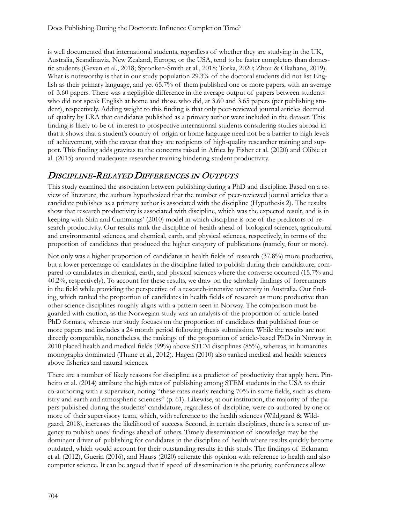is well documented that international students, regardless of whether they are studying in the UK, Australia, Scandinavia, New Zealand, Europe, or the USA, tend to be faster completers than domestic students (Geven et al., 2018; Spronken-Smith et al., 2018; Torka, 2020; Zhou & Okahana, 2019). What is noteworthy is that in our study population 29.3% of the doctoral students did not list English as their primary language, and yet 65.7% of them published one or more papers, with an average of 3.60 papers. There was a negligible difference in the average output of papers between students who did not speak English at home and those who did, at 3.60 and 3.65 papers (per publishing student), respectively. Adding weight to this finding is that only peer-reviewed journal articles deemed of quality by ERA that candidates published as a primary author were included in the dataset. This finding is likely to be of interest to prospective international students considering studies abroad in that it shows that a student's country of origin or home language need not be a barrier to high levels of achievement, with the caveat that they are recipients of high-quality researcher training and support. This finding adds gravitas to the concerns raised in Africa by Fisher et al. (2020) and Olibie et al. (2015) around inadequate researcher training hindering student productivity.

### DISCIPLINE-RELATED DIFFERENCES IN OUTPUTS

This study examined the association between publishing during a PhD and discipline. Based on a review of literature, the authors hypothesized that the number of peer-reviewed journal articles that a candidate publishes as a primary author is associated with the discipline (Hypothesis 2). The results show that research productivity is associated with discipline, which was the expected result, and is in keeping with Shin and Cummings' (2010) model in which discipline is one of the predictors of research productivity. Our results rank the discipline of health ahead of biological sciences, agricultural and environmental sciences, and chemical, earth, and physical sciences, respectively, in terms of the proportion of candidates that produced the higher category of publications (namely, four or more).

Not only was a higher proportion of candidates in health fields of research (37.8%) more productive, but a lower percentage of candidates in the discipline failed to publish during their candidature, compared to candidates in chemical, earth, and physical sciences where the converse occurred (15.7% and 40.2%, respectively). To account for these results, we draw on the scholarly findings of forerunners in the field while providing the perspective of a research-intensive university in Australia. Our finding, which ranked the proportion of candidates in health fields of research as more productive than other science disciplines roughly aligns with a pattern seen in Norway. The comparison must be guarded with caution, as the Norwegian study was an analysis of the proportion of article-based PhD formats, whereas our study focuses on the proportion of candidates that published four or more papers and includes a 24 month period following thesis submission. While the results are not directly comparable, nonetheless, the rankings of the proportion of article-based PhDs in Norway in 2010 placed health and medical fields (99%) above STEM disciplines (85%), whereas, in humanities monographs dominated (Thune et al., 2012). Hagen (2010) also ranked medical and health sciences above fisheries and natural sciences.

There are a number of likely reasons for discipline as a predictor of productivity that apply here. Pinheiro et al. (2014) attribute the high rates of publishing among STEM students in the USA to their co-authoring with a supervisor, noting "these rates nearly reaching 70% in some fields, such as chemistry and earth and atmospheric sciences" (p. 61). Likewise, at our institution, the majority of the papers published during the students' candidature, regardless of discipline, were co-authored by one or more of their supervisory team, which, with reference to the health sciences (Wildgaard & Wildgaard, 2018), increases the likelihood of success. Second, in certain disciplines, there is a sense of urgency to publish ones' findings ahead of others. Timely dissemination of knowledge may be the dominant driver of publishing for candidates in the discipline of health where results quickly become outdated, which would account for their outstanding results in this study. The findings of Eckmann et al. (2012), Guerin (2016), and Hauss (2020) reiterate this opinion with reference to health and also computer science. It can be argued that if speed of dissemination is the priority, conferences allow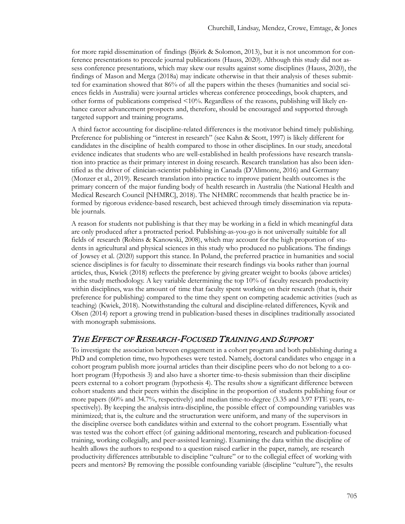for more rapid dissemination of findings (Björk & Solomon, 2013), but it is not uncommon for conference presentations to precede journal publications (Hauss, 2020). Although this study did not assess conference presentations, which may skew our results against some disciplines (Hauss, 2020), the findings of Mason and Merga (2018a) may indicate otherwise in that their analysis of theses submitted for examination showed that 86% of all the papers within the theses (humanities and social sciences fields in Australia) were journal articles whereas conference proceedings, book chapters, and other forms of publications comprised  $\leq 10\%$ . Regardless of the reasons, publishing will likely enhance career advancement prospects and, therefore, should be encouraged and supported through targeted support and training programs.

A third factor accounting for discipline-related differences is the motivator behind timely publishing. Preference for publishing or "interest in research" (see Kahn & Scott, 1997) is likely different for candidates in the discipline of health compared to those in other disciplines. In our study, anecdotal evidence indicates that students who are well-established in health professions have research translation into practice as their primary interest in doing research. Research translation has also been identified as the driver of clinician-scientist publishing in Canada (D'Alimonte, 2016) and Germany (Monzer et al., 2019). Research translation into practice to improve patient health outcomes is the primary concern of the major funding body of health research in Australia (the National Health and Medical Research Council [NHMRC], 2018). The NHMRC recommends that health practice be informed by rigorous evidence-based research, best achieved through timely dissemination via reputable journals.

A reason for students not publishing is that they may be working in a field in which meaningful data are only produced after a protracted period. Publishing-as-you-go is not universally suitable for all fields of research (Robins & Kanowski, 2008), which may account for the high proportion of students in agricultural and physical sciences in this study who produced no publications. The findings of Jowsey et al. (2020) support this stance. In Poland, the preferred practice in humanities and social science disciplines is for faculty to disseminate their research findings via books rather than journal articles, thus, Kwiek (2018) reflects the preference by giving greater weight to books (above articles) in the study methodology. A key variable determining the top 10% of faculty research productivity within disciplines, was the amount of time that faculty spent working on their research (that is, their preference for publishing) compared to the time they spent on competing academic activities (such as teaching) (Kwiek, 2018). Notwithstanding the cultural and discipline-related differences, Kyvik and Olsen (2014) report a growing trend in publication-based theses in disciplines traditionally associated with monograph submissions.

#### THE EFFECT OF RESEARCH-FOCUSED TRAINING AND SUPPORT

To investigate the association between engagement in a cohort program and both publishing during a PhD and completion time, two hypotheses were tested. Namely, doctoral candidates who engage in a cohort program publish more journal articles than their discipline peers who do not belong to a cohort program (Hypothesis 3) and also have a shorter time-to-thesis submission than their discipline peers external to a cohort program (hypothesis 4). The results show a significant difference between cohort students and their peers within the discipline in the proportion of students publishing four or more papers (60% and 34.7%, respectively) and median time-to-degree (3.35 and 3.97 FTE years, respectively). By keeping the analysis intra-discipline, the possible effect of compounding variables was minimized; that is, the culture and the structuration were uniform, and many of the supervisors in the discipline oversee both candidates within and external to the cohort program. Essentially what was tested was the cohort effect (of gaining additional mentoring, research and publication-focused training, working collegially, and peer-assisted learning). Examining the data within the discipline of health allows the authors to respond to a question raised earlier in the paper, namely, are research productivity differences attributable to discipline "culture" or to the collegial effect of working with peers and mentors? By removing the possible confounding variable (discipline "culture"), the results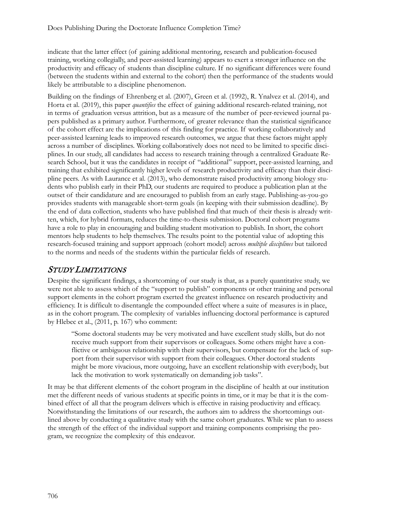indicate that the latter effect (of gaining additional mentoring, research and publication-focused training, working collegially, and peer-assisted learning) appears to exert a stronger influence on the productivity and efficacy of students than discipline culture. If no significant differences were found (between the students within and external to the cohort) then the performance of the students would likely be attributable to a discipline phenomenon.

Building on the findings of Ehrenberg et al. (2007), Green et al. (1992), R. Ynalvez et al. (2014), and Horta et al. (2019), this paper *quantifies* the effect of gaining additional research-related training, not in terms of graduation versus attrition, but as a measure of the number of peer-reviewed journal papers published as a primary author. Furthermore, of greater relevance than the statistical significance of the cohort effect are the implications of this finding for practice. If working collaboratively and peer-assisted learning leads to improved research outcomes, we argue that these factors might apply across a number of disciplines. Working collaboratively does not need to be limited to specific disciplines. In our study, all candidates had access to research training through a centralized Graduate Research School, but it was the candidates in receipt of "additional" support, peer-assisted learning, and training that exhibited significantly higher levels of research productivity and efficacy than their discipline peers. As with Laurance et al. (2013), who demonstrate raised productivity among biology students who publish early in their PhD, our students are required to produce a publication plan at the outset of their candidature and are encouraged to publish from an early stage. Publishing-as-you-go provides students with manageable short-term goals (in keeping with their submission deadline). By the end of data collection, students who have published find that much of their thesis is already written, which, for hybrid formats, reduces the time-to-thesis submission. Doctoral cohort programs have a role to play in encouraging and building student motivation to publish. In short, the cohort mentors help students to help themselves. The results point to the potential value of adopting this research-focused training and support approach (cohort model) across *multiple disciplines* but tailored to the norms and needs of the students within the particular fields of research.

# STUDY LIMITATIONS

Despite the significant findings, a shortcoming of our study is that, as a purely quantitative study, we were not able to assess which of the "support to publish" components or other training and personal support elements in the cohort program exerted the greatest influence on research productivity and efficiency. It is difficult to disentangle the compounded effect where a suite of measures is in place, as in the cohort program. The complexity of variables influencing doctoral performance is captured by Hlebec et al., (2011, p. 167) who comment:

"Some doctoral students may be very motivated and have excellent study skills, but do not receive much support from their supervisors or colleagues. Some others might have a conflictive or ambiguous relationship with their supervisors, but compensate for the lack of support from their supervisor with support from their colleagues. Other doctoral students might be more vivacious, more outgoing, have an excellent relationship with everybody, but lack the motivation to work systematically on demanding job tasks".

It may be that different elements of the cohort program in the discipline of health at our institution met the different needs of various students at specific points in time, or it may be that it is the combined effect of all that the program delivers which is effective in raising productivity and efficacy. Notwithstanding the limitations of our research, the authors aim to address the shortcomings outlined above by conducting a qualitative study with the same cohort graduates. While we plan to assess the strength of the effect of the individual support and training components comprising the program, we recognize the complexity of this endeavor.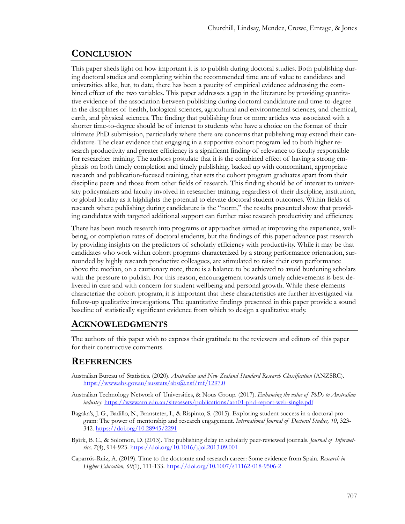# **CONCLUSION**

This paper sheds light on how important it is to publish during doctoral studies. Both publishing during doctoral studies and completing within the recommended time are of value to candidates and universities alike, but, to date, there has been a paucity of empirical evidence addressing the combined effect of the two variables. This paper addresses a gap in the literature by providing quantitative evidence of the association between publishing during doctoral candidature and time-to-degree in the disciplines of health, biological sciences, agricultural and environmental sciences, and chemical, earth, and physical sciences. The finding that publishing four or more articles was associated with a shorter time-to-degree should be of interest to students who have a choice on the format of their ultimate PhD submission, particularly where there are concerns that publishing may extend their candidature. The clear evidence that engaging in a supportive cohort program led to both higher research productivity and greater efficiency is a significant finding of relevance to faculty responsible for researcher training. The authors postulate that it is the combined effect of having a strong emphasis on both timely completion and timely publishing, backed up with concomitant, appropriate research and publication-focused training, that sets the cohort program graduates apart from their discipline peers and those from other fields of research. This finding should be of interest to university policymakers and faculty involved in researcher training, regardless of their discipline, institution, or global locality as it highlights the potential to elevate doctoral student outcomes. Within fields of research where publishing during candidature is the "norm," the results presented show that providing candidates with targeted additional support can further raise research productivity and efficiency.

There has been much research into programs or approaches aimed at improving the experience, wellbeing, or completion rates of doctoral students, but the findings of this paper advance past research by providing insights on the predictors of scholarly efficiency with productivity. While it may be that candidates who work within cohort programs characterized by a strong performance orientation, surrounded by highly research productive colleagues, are stimulated to raise their own performance above the median, on a cautionary note, there is a balance to be achieved to avoid burdening scholars with the pressure to publish. For this reason, encouragement towards timely achievements is best delivered in care and with concern for student wellbeing and personal growth. While these elements characterize the cohort program, it is important that these characteristics are further investigated via follow-up qualitative investigations. The quantitative findings presented in this paper provide a sound baseline of statistically significant evidence from which to design a qualitative study.

### **ACKNOWLEDGMENTS**

The authors of this paper wish to express their gratitude to the reviewers and editors of this paper for their constructive comments.

### **REFERENCES**

- Australian Bureau of Statistics. (2020). *Australian and New Zealand Standard Research Classification* (ANZSRC). <https://www.abs.gov.au/ausstats/abs@.nsf/mf/1297.0>
- Australian Technology Network of Universities, & Nous Group. (2017). *Enhancing the value of PhDs to Australian industry*. [https://www.atn.edu.au/siteassets/publications/atn01-](https://www.atn.edu.au/siteassets/publications/atn01-phd-report-web-single.pdf)phd-report-web-single.pdf
- Bagaka's, J. G., Badillo, N., Bransteter, I., & Rispinto, S. (2015). Exploring student success in a doctoral program: The power of mentorship and research engagement. *International Journal of Doctoral Studies, 10*, 323- 342[. https://doi.org/10.28945/2291](https://doi.org/10.28945/2291)
- Björk, B. C., & Solomon, D. (2013). The publishing delay in scholarly peer-reviewed journals. *Journal of Informetrics, 7*(4), 914-923.<https://doi.org/10.1016/j.joi.2013.09.001>
- Caparrós-Ruiz, A. (2019). Time to the doctorate and research career: Some evidence from Spain. *Research in Higher Education, 60*(1), 111-133. [https://doi.org/10.1007/s11162-018-9506-](https://doi.org/10.1007/s11162-018-9506-2)2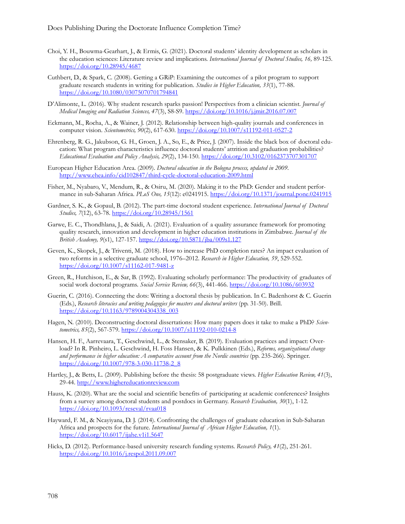- Choi, Y. H., Bouwma-Gearhart, J., & Ermis, G. (2021). Doctoral students' identity development as scholars in the education sciences: Literature review and implications. *International Journal of Doctoral Studies, 16,* 89-125. <https://doi.org/10.28945/4687>
- Cuthbert, D., & Spark, C. (2008). Getting a GRiP: Examining the outcomes of a pilot program to support graduate research students in writing for publication. *Studies in Higher Education, 33*(1), 77-88. <https://doi.org/10.1080/03075070701794841>
- D'Alimonte, L. (2016). Why student research sparks passion! Perspectives from a clinician scientist. *Journal of Medical Imaging and Radiation Sciences, 47*(3), S8-S9.<https://doi.org/10.1016/j.jmir.2016.07.007>
- Eckmann, M., Rocha, A., & Wainer, J. (2012). Relationship between high-quality journals and conferences in computer vision. *Scientometrics, 90*(2), 617-630. [https://doi.org/10.1007/s11192-](https://doi.org/10.1007/s11192-011-0527-2)011-0527-2
- Ehrenberg, R. G., Jakubson, G. H., Groen, J. A., So, E., & Price, J. (2007). Inside the black box of doctoral education: What program characteristics influence doctoral students' attrition and graduation probabilities? *Educational Evaluation and Policy Analysis, 29*(2), 134-150[. https://doi.org/10.3102/0162373707301707](https://doi.org/10.3102/0162373707301707)
- European Higher Education Area. (2009). *Doctoral education in the Bologna process, updated in 2009*. [http://www.ehea.info/cid102847/third-](http://www.ehea.info/cid102847/third-cycle-doctoral-education-2009.html)cycle-doctoral-education-2009.html
- Fisher, M., Nyabaro, V., Mendum, R., & Osiru, M. (2020). Making it to the PhD: Gender and student performance in sub-Saharan Africa. *PLoS One, 15*(12): e0241915.<https://doi.org/10.1371/journal.pone.0241915>
- Gardner, S. K., & Gopaul, B. (2012). The part-time doctoral student experience. *International Journal of Doctoral Studies, 7*(12), 63-78.<https://doi.org/10.28945/1561>
- Garwe, E. C., Thondhlana, J., & Saidi, A. (2021). Evaluation of a quality assurance framework for promoting quality research, innovation and development in higher education institutions in Zimbabwe. *Journal of the British Academy, 9*(s1), 127-157.<https://doi.org/10.5871/jba/009s1.127>
- Geven, K., Skopek, J., & Triventi, M. (2018). How to increase PhD completion rates? An impact evaluation of two reforms in a selective graduate school, 1976–2012. *Research in Higher Education, 59*, 529-552. [https://doi.org/10.1007/s11162-](https://doi.org/10.1007/s11162-017-9481-z)017-9481-z
- Green, R., Hutchison, E., & Sar, B. (1992). Evaluating scholarly performance: The productivity of graduates of social work doctoral programs. *Social Service Review, 66*(3), 441-466.<https://doi.org/10.1086/603932>
- Guerin, C. (2016). Connecting the dots: Writing a doctoral thesis by publication. In C. Badenhorst & C. Guerin (Eds.), *Research literacies and writing pedagogies for masters and doctoral writers* (pp. 31-50). Brill. [https://doi.org/10.1163/9789004304338\\_003](https://doi.org/10.1163/9789004304338_003)
- Hagen, N. (2010). Deconstructing doctoral dissertations: How many papers does it take to make a PhD? *Scientometrics, 85*(2), 567-579. [https://doi.org/10.1007/s11192-](https://doi.org/10.1007/s11192-010-0214-8)010-0214-8
- Hansen, H. F., Aarrevaara, T., Geschwind, L., & Stensaker, B. (2019). Evaluation practices and impact: Overload? In R. Pinheiro, L. Geschwind, H. Foss Hansen, & K. Pulkkinen (Eds.), *Reforms, organizational change and performance in higher education: A comparative account from the Nordic countries* (pp. 235-266). Springer. [https://doi.org/10.1007/978-](https://doi.org/10.1007/978-3-030-11738-2_8)3-030-11738-2\_8
- Hartley, J., & Betts, L. (2009). Publishing before the thesis: 58 postgraduate views. *Higher Education Review, 41*(3), 29-44[. http://www.highereducationreview.com](http://www.highereducationreview.com/)
- Hauss, K. (2020). What are the social and scientific benefits of participating at academic conferences? Insights from a survey among doctoral students and postdocs in Germany. *Research Evaluation, 30*(1), 1-12. <https://doi.org/10.1093/reseval/rvaa018>
- Hayward, F. M., & Ncayiyana, D. J. (2014). Confronting the challenges of graduate education in Sub-Saharan Africa and prospects for the future. *International Journal of African Higher Education, 1*(1). <https://doi.org/10.6017/ijahe.v1i1.5647>
- Hicks, D. (2012). Performance-based university research funding systems. *Research Policy, 41*(2), 251-261. https://doi.org/10.1016/j.respol.2011.09.007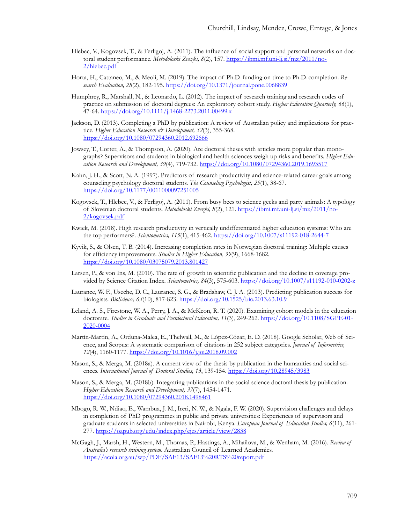- Hlebec, V., Kogovsek, T., & Ferligoj, A. (2011). The influence of social support and personal networks on doctoral student performance. *Metodoloski Zvezki, 8*(2), 157. [https://ibmi.mf.uni-lj.si/mz/2011/no-](https://ibmi.mf.uni-lj.si/mz/2011/no-2/hlebec.pdf)[2/hlebec.pdf](https://ibmi.mf.uni-lj.si/mz/2011/no-2/hlebec.pdf)
- Horta, H., Cattaneo, M., & Meoli, M. (2019). The impact of Ph.D. funding on time to Ph.D. completion. *Research Evaluation, 28*(2), 182-195.<https://doi.org/10.1371/journal.pone.0068839>
- Humphrey, R., Marshall, N., & Leonardo, L. (2012). The impact of research training and research codes of practice on submission of doctoral degrees: An exploratory cohort study. *Higher Education Quarterly, 66*(1), 47-64[. https://doi.org/10.1111/j.1468-2273.2011.00499.x](https://doi.org/10.1111/j.1468-2273.2011.00499.x)
- Jackson, D. (2013). Completing a PhD by publication: A review of Australian policy and implications for practice. *Higher Education Research & Development*, 32(3), 355-368. <https://doi.org/10.1080/07294360.2012.692666>
- Jowsey, T., Corter, A., & Thompson, A. (2020). Are doctoral theses with articles more popular than monographs? Supervisors and students in biological and health sciences weigh up risks and benefits. *Higher Education Research and Development, 39*(4), 719-732. <https://doi.org/10.1080/07294360.2019.1693517>
- Kahn, J. H., & Scott, N. A. (1997). Predictors of research productivity and science-related career goals among counseling psychology doctoral students. *The Counseling Psychologist, 25*(1), 38-67. <https://doi.org/10.1177/0011000097251005>
- Kogovsek, T., Hlebec, V., & Ferligoj, A. (2011). From busy bees to science geeks and party animals: A typology of Slovenian doctoral students. *Metodoloski Zvezki, 8*(2), 121[. https://ibmi.mf.uni-lj.si/mz/2011/no-](https://ibmi.mf.uni-lj.si/mz/2011/no-2/kogovsek.pdf)[2/kogovsek.pdf](https://ibmi.mf.uni-lj.si/mz/2011/no-2/kogovsek.pdf)
- Kwiek, M. (2018). High research productivity in vertically undifferentiated higher education systems: Who are the top performers?. *Scientometrics, 115*(1), 415-462[. https://doi.org/10.1007/s11192-018-2644-](https://doi.org/10.1007/s11192-018-2644-7)7
- Kyvik, S., & Olsen, T. B. (2014). Increasing completion rates in Norwegian doctoral training: Multiple causes for efficiency improvements. *Studies in Higher Education*, *39*(9), 1668-1682. <https://doi.org/10.1080/03075079.2013.801427>
- Larsen, P., & von Ins, M. (2010). The rate of growth in scientific publication and the decline in coverage provided by Science Citation Index. *Scientometrics, 84*(3), 575-603. [https://doi.org/10.1007/s11192-](https://doi.org/10.1007/s11192-010-0202-z)010-0202-z
- Laurance, W. F., Useche, D. C., Laurance, S. G., & Bradshaw, C. J. A. (2013). Predicting publication success for biologists. *BioScience, 63*(10), 817-823.<https://doi.org/10.1525/bio.2013.63.10.9>
- Leland, A. S., Firestone, W. A., Perry, J. A., & McKeon, R. T. (2020). Examining cohort models in the education doctorate. *Studies in Graduate and Postdoctoral Education, 11*(3), 249-262. [https://doi.org/10.1108/SGPE-](https://doi.org/10.1108/SGPE-01-2020-0004)01- 2020[-0004](https://doi.org/10.1108/SGPE-01-2020-0004)
- Martín-Martín, A., Orduna-Malea, E., Thelwall, M., & López-Cózar, E. D. (2018). Google Scholar, Web of Science, and Scopus: A systematic comparison of citations in 252 subject categories. *Journal of Informetrics, 12*(4), 1160-1177. <https://doi.org/10.1016/j.joi.2018.09.002>
- Mason, S., & Merga, M. (2018a). A current view of the thesis by publication in the humanities and social sciences. *International Journal of Doctoral Studies*, *13*, 139-154. <https://doi.org/10.28945/3983>
- Mason, S., & Merga, M. (2018b). Integrating publications in the social science doctoral thesis by publication. *Higher Education Research and Development, 37*(7), 1454-1471. <https://doi.org/10.1080/07294360.2018.1498461>
- Mbogo, R. W., Ndiao, E., Wambua, J. M., Ireri, N. W., & Ngala, F. W. (2020). Supervision challenges and delays in completion of PhD programmes in public and private universities: Experiences of supervisors and graduate students in selected universities in Nairobi, Kenya. *European Journal of Education Studies, 6*(11), 261- 277. <https://oapub.org/edu/index.php/ejes/article/view/2838>
- McGagh, J., Marsh, H., Western, M., Thomas, P., Hastings, A., Mihailova, M., & Wenham, M. (2016). *Review of Australia's research training system*. Australian Council of Learned Academies. <https://acola.org.au/wp/PDF/SAF13/SAF13%20RTS%20report.pdf>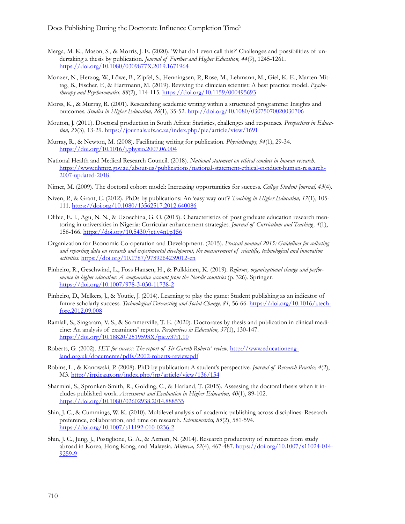- Merga, M. K., Mason, S., & Morris, J. E. (2020). 'What do I even call this?' Challenges and possibilities of undertaking a thesis by publication. *Journal of Further and Higher Education, 44*(9), 1245-1261. <https://doi.org/10.1080/0309877X.2019.1671964>
- Monzer, N., Herzog, W., Löwe, B., Zipfel, S., Henningsen, P., Rose, M., Lehmann, M., Giel, K. E., Marten-Mittag, B., Fischer, F., & Hartmann, M. (2019). Reviving the clinician scientist: A best practice model. *Psychotherapy and Psychosomatics, 88*(2), 114-115.<https://doi.org/10.1159/000495693>
- Morss, K., & Murray, R. (2001). Researching academic writing within a structured programme: Insights and outcomes. *Studies in Higher Education, 26*(1), 35-52.<http://doi.org/10.1080/03075070020030706>
- Mouton, J. (2011). Doctoral production in South Africa: Statistics, challenges and responses. *Perspectives in Education, 29*(3), 13-29.<https://journals.ufs.ac.za/index.php/pie/article/view/1691>
- Murray, R., & Newton, M. (2008). Facilitating writing for publication. *Physiotherapy, 94*(1), 29-34. <https://doi.org/10.1016/j.physio.2007.06.004>
- National Health and Medical Research Council. (2018). *National statement on ethical conduct in human research*. [https://www.nhmrc.gov.au/about-us/publications/national-statement-](https://www.nhmrc.gov.au/about-us/publications/national-statement-ethical-conduct-human-research-2007-updated-2018)ethical-conduct-human-research-2007-[updated](https://www.nhmrc.gov.au/about-us/publications/national-statement-ethical-conduct-human-research-2007-updated-2018)-2018
- Nimer, M. (2009). The doctoral cohort model: Increasing opportunities for success. *College Student Journal, 43*(4).
- Niven, P., & Grant, C. (2012). PhDs by publications: An 'easy way out'? *Teaching in Higher Education, 17*(1), 105- 111. <https://doi.org/10.1080/13562517.2012.640086>
- Olibie, E. I., Agu, N. N., & Uzoechina, G. O. (2015). Characteristics of post graduate education research mentoring in universities in Nigeria: Curricular enhancement strategies. *Journal of Curriculum and Teaching, 4*(1), 156-166.<https://doi.org/10.5430/jct.v4n1p156>
- Organization for Economic Co-operation and Development. (2015). *Frascati manual 2015: Guidelines for collecting and reporting data on research and experimental development, the measurement of scientific, technological and innovation activities*. [https://doi.org/10.1787/9789264239012-](https://doi.org/10.1787/9789264239012-en)en
- Pinheiro, R., Geschwind, L., Foss Hansen, H., & Pulkkinen, K. (2019). *Reforms, organizational change and performance in higher education: A comparative account from the Nordic countries* (p. 326). Springer. [https://doi.org/10.1007/978-](https://doi.org/10.1007/978-3-030-11738-2)3-030-11738-2
- Pinheiro, D., Melkers, J., & Youtie, J. (2014). Learning to play the game: Student publishing as an indicator of future scholarly success. *Technological Forecasting and Social Change, 81*, 56-66. [https://doi.org/10.1016/j.tech](https://doi.org/10.1016/j.techfore.2012.09.008)for[e.2012.09.008](https://doi.org/10.1016/j.techfore.2012.09.008)
- Ramlall, S., Singaram, V. S., & Sommerville, T. E. (2020). Doctorates by thesis and publication in clinical medicine: An analysis of examiners' reports. *Perspectives in Education, 37*(1), 130-147. <https://doi.org/10.18820/2519593X/pie.v37i1.10>
- Roberts, G. (2002). *SET for success: The report of Sir Gareth Roberts' review*. [http://www.educationeng](http://www.educationengland.org.uk/documents/pdfs/2002-roberts-review.pdf)[land.org.uk/documents/pdfs/2002-roberts-review.pdf](http://www.educationengland.org.uk/documents/pdfs/2002-roberts-review.pdf)
- Robins, L., & Kanowski, P. (2008). PhD by publication: A student's perspective. *Journal of Research Practice, 4*(2), M3[. http://jrp.icaap.org/index.php/jrp/article/view/136/154](http://jrp.icaap.org/index.php/jrp/article/view/136/154)
- Sharmini, S., Spronken-Smith, R., Golding, C., & Harland, T. (2015). Assessing the doctoral thesis when it includes published work. *Assessment and Evaluation in Higher Education, 40*(1), 89-102. <https://doi.org/10.1080/02602938.2014.888535>
- Shin, J. C., & Cummings, W. K. (2010). Multilevel analysis of academic publishing across disciplines: Research preference, collaboration, and time on research. *Scientometrics, 85*(2), 581-594. [https://doi.org/10.1007/s11192-](https://doi.org/10.1007/s11192-010-0236-2)010-0236-2
- Shin, J. C., Jung, J., Postiglione, G. A., & Azman, N. (2014). Research productivity of returnees from study abroad in Korea, Hong Kong, and Malaysia. *Minerva, 52*(4), 467-487. [https://doi.org/10.1007/s11024-014-](https://doi.org/10.1007/s11024-014-9259-9) [9259-9](https://doi.org/10.1007/s11024-014-9259-9)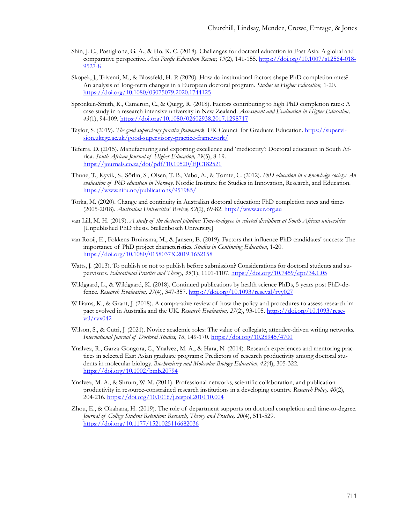- Shin, J. C., Postiglione, G. A., & Ho, K. C. (2018). Challenges for doctoral education in East Asia: A global and comparative perspective. *Asia Pacific Education Review, 19*(2), 141-155[. https://doi.org/10.1007/s12564-018-](https://doi.org/10.1007/s12564-018-9527-8) [9527-8](https://doi.org/10.1007/s12564-018-9527-8)
- Skopek, J., Triventi, M., & Blossfeld, H.-P. (2020). How do institutional factors shape PhD completion rates? An analysis of long-term changes in a European doctoral program. *Studies in Higher Education,* 1-20. <https://doi.org/10.1080/03075079.2020.1744125>
- Spronken-Smith, R., Cameron, C., & Quigg, R. (2018). Factors contributing to high PhD completion rates: A case study in a research-intensive university in New Zealand. *Assessment and Evaluation in Higher Education, 43*(1), 94-109.<https://doi.org/10.1080/02602938.2017.1298717>
- Taylor, S. (2019). *The good supervisory practice framework*. UK Council for Graduate Education. [https://supervi](https://supervision.ukcge.ac.uk/good-supervisory-practice-framework/)[sion.ukcge.ac.uk/good-supervisory-](https://supervision.ukcge.ac.uk/good-supervisory-practice-framework/)practice-framework/
- Teferra, D. (2015). Manufacturing and exporting excellence and 'mediocrity': Doctoral education in South Africa. *South African Journal of Higher Education, 29*(5), 8-19. <https://journals.co.za/doi/pdf/10.10520/EJC182521>
- Thune, T., Kyvik, S., Sörlin, S., Olsen, T. B., Vabø, A., & Tømte, C. (2012). *PhD education in a knowledge society: An evaluation of PhD education in Norway*. Nordic Institute for Studies in Innovation, Research, and Education. <https://www.nifu.no/publications/951985/>
- Torka, M. (2020). Change and continuity in Australian doctoral education: PhD completion rates and times (2005-2018). *Australian Universities' Review, 62*(2), 69-82. [http://www.aur.org.au](http://www.aur.org.au/)
- van Lill, M. H. (2019). *A study of the doctoral pipeline: Time-to-degree in selected disciplines at South African universities* [Unpublished PhD thesis. Stellenbosch University.]
- van Rooij, E., Fokkens-Bruinsma, M., & Jansen, E. (2019). Factors that influence PhD candidates' success: The importance of PhD project characteristics. *Studies in Continuing Education*, 1-20. <https://doi.org/10.1080/0158037X.2019.1652158>
- Watts, J. (2013). To publish or not to publish before submission? Considerations for doctoral students and supervisors. *Educational Practice and Theory, 35*(1), 1101-1107. <https://doi.org/10.7459/ept/34.1.05>
- Wildgaard, L., & Wildgaard, K. (2018). Continued publications by health science PhDs, 5 years post PhD-defence. *Research Evaluation, 27*(4), 347-357.<https://doi.org/10.1093/reseval/rvy027>
- Williams, K., & Grant, J. (2018). A comparative review of how the policy and procedures to assess research impact evolved in Australia and the UK. *Research Evaluation*, 27(2), 93-105. [https://doi.org/10.1093/rese-](https://doi.org/10.1093/reseval/rvx042) $\text{val}/\text{rvx}042$
- Wilson, S., & Cutri, J. (2021). Novice academic roles: The value of collegiate, attendee-driven writing networks. *International Journal of Doctoral Studies, 16*, 149-170. <https://doi.org/10.28945/4700>
- Ynalvez, R., Garza-Gongora, C., Ynalvez, M. A., & Hara, N. (2014). Research experiences and mentoring practices in selected East Asian graduate programs: Predictors of research productivity among doctoral students in molecular biology. *Biochemistry and Molecular Biology Education, 42*(4), 305-322. <https://doi.org/10.1002/bmb.20794>
- Ynalvez, M. A., & Shrum, W. M. (2011). Professional networks, scientific collaboration, and publication productivity in resource-constrained research institutions in a developing country. *Research Policy, 40*(2), 204-216.<https://doi.org/10.1016/j.respol.2010.10.004>
- Zhou, E., & Okahana, H. (2019). The role of department supports on doctoral completion and time-to-degree. *Journal of College Student Retention: Research, Theory and Practice, 20*(4), 511-529. <https://doi.org/10.1177/1521025116682036>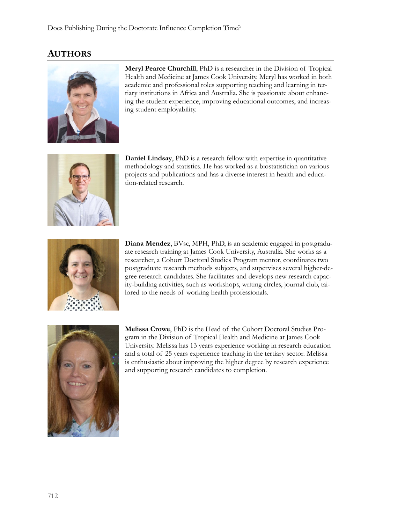# **AUTHORS**



**Meryl Pearce Churchill**, PhD is a researcher in the Division of Tropical Health and Medicine at James Cook University. Meryl has worked in both academic and professional roles supporting teaching and learning in tertiary institutions in Africa and Australia. She is passionate about enhancing the student experience, improving educational outcomes, and increasing student employability.



**Daniel Lindsay**, PhD is a research fellow with expertise in quantitative methodology and statistics. He has worked as a biostatistician on various projects and publications and has a diverse interest in health and education-related research.



**Diana Mendez**, BVsc, MPH, PhD, is an academic engaged in postgraduate research training at James Cook University, Australia. She works as a researcher, a Cohort Doctoral Studies Program mentor, coordinates two postgraduate research methods subjects, and supervises several higher-degree research candidates. She facilitates and develops new research capacity-building activities, such as workshops, writing circles, journal club, tailored to the needs of working health professionals.



**Melissa Crowe**, PhD is the Head of the Cohort Doctoral Studies Program in the Division of Tropical Health and Medicine at James Cook University. Melissa has 13 years experience working in research education and a total of 25 years experience teaching in the tertiary sector. Melissa is enthusiastic about improving the higher degree by research experience and supporting research candidates to completion.